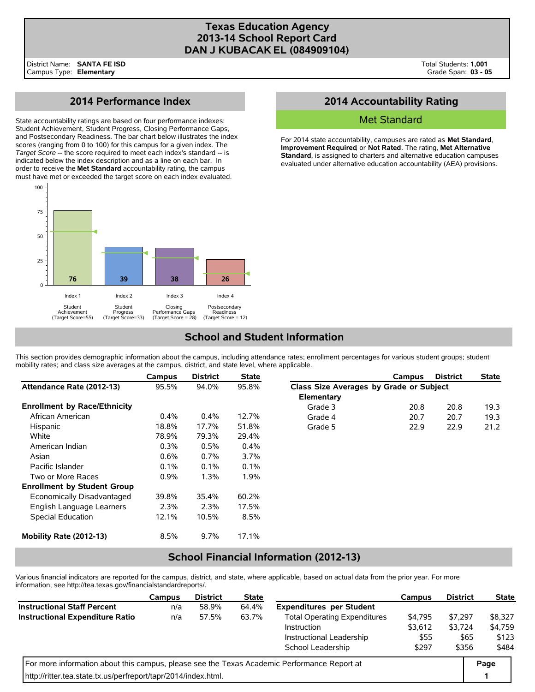## **Texas Education Agency 2013-14 School Report Card DAN J KUBACAK EL (084909104)**

# **2014 Performance Index**

State accountability ratings are based on four performance indexes: Student Achievement, Student Progress, Closing Performance Gaps, and Postsecondary Readiness. The bar chart below illustrates the index scores (ranging from 0 to 100) for this campus for a given index. The *Target Score* -- the score required to meet each index's standard -- is indicated below the index description and as a line on each bar. In order to receive the **Met Standard** accountability rating, the campus must have met or exceeded the target score on each index evaluated.



# **2014 Accountability Rating**

### Met Standard

For 2014 state accountability, campuses are rated as **Met Standard**, **Improvement Required**, or **Not Rated**. The rating, **Met Alternative Standard**, is assigned to charters and alternative education campuses evaluated under alternative education accountability (AEA) provisions.

# **School and Student Information**

This section provides demographic information about the campus, including attendance rates; enrollment percentages for various student groups; student mobility rates; and class size averages at the campus, district, and state level, where applicable.

|                                     | Campus  | <b>District</b> | <b>State</b> |                                         | Campus | <b>District</b> | <b>State</b> |
|-------------------------------------|---------|-----------------|--------------|-----------------------------------------|--------|-----------------|--------------|
| Attendance Rate (2012-13)           | 95.5%   | 94.0%           | 95.8%        | Class Size Averages by Grade or Subject |        |                 |              |
|                                     |         |                 |              | Elementary                              |        |                 |              |
| <b>Enrollment by Race/Ethnicity</b> |         |                 |              | Grade 3                                 | 20.8   | 20.8            | 19.3         |
| African American                    | $0.4\%$ | $0.4\%$         | 12.7%        | Grade 4                                 | 20.7   | 20.7            | 19.3         |
| Hispanic                            | 18.8%   | 17.7%           | 51.8%        | Grade 5                                 | 22.9   | 22.9            | 21.2         |
| White                               | 78.9%   | 79.3%           | 29.4%        |                                         |        |                 |              |
| American Indian                     | $0.3\%$ | 0.5%            | $0.4\%$      |                                         |        |                 |              |
| Asian                               | 0.6%    | $0.7\%$         | $3.7\%$      |                                         |        |                 |              |
| Pacific Islander                    | $0.1\%$ | 0.1%            | 0.1%         |                                         |        |                 |              |
| Two or More Races                   | 0.9%    | 1.3%            | $1.9\%$      |                                         |        |                 |              |
| <b>Enrollment by Student Group</b>  |         |                 |              |                                         |        |                 |              |
| Economically Disadvantaged          | 39.8%   | 35.4%           | 60.2%        |                                         |        |                 |              |
| English Language Learners           | 2.3%    | 2.3%            | 17.5%        |                                         |        |                 |              |
| Special Education                   | 12.1%   | 10.5%           | 8.5%         |                                         |        |                 |              |
| Mobility Rate (2012-13)             | 8.5%    | 9.7%            | 17.1%        |                                         |        |                 |              |

## **School Financial Information (2012-13)**

Various financial indicators are reported for the campus, district, and state, where applicable, based on actual data from the prior year. For more information, see http://tea.texas.gov/financialstandardreports/.

|                                                                                             | <b>Campus</b> | <b>District</b> | <b>State</b> |                                     | Campus  | <b>District</b> | <b>State</b> |  |
|---------------------------------------------------------------------------------------------|---------------|-----------------|--------------|-------------------------------------|---------|-----------------|--------------|--|
| <b>Instructional Staff Percent</b>                                                          | n/a           | 58.9%           | 64.4%        | <b>Expenditures per Student</b>     |         |                 |              |  |
| <b>Instructional Expenditure Ratio</b>                                                      | n/a           | 57.5%           | 63.7%        | <b>Total Operating Expenditures</b> | \$4,795 | \$7.297         | \$8,327      |  |
|                                                                                             |               |                 |              | \$3,612<br>Instruction              |         | \$3.724         | \$4,759      |  |
|                                                                                             |               |                 |              | Instructional Leadership            | \$55    | \$65            | \$123        |  |
|                                                                                             |               |                 |              | School Leadership                   | \$297   | \$356           | \$484        |  |
| For more information about this campus, please see the Texas Academic Performance Report at |               |                 |              |                                     |         |                 |              |  |
| http://ritter.tea.state.tx.us/perfreport/tapr/2014/index.html.                              |               |                 |              |                                     |         |                 |              |  |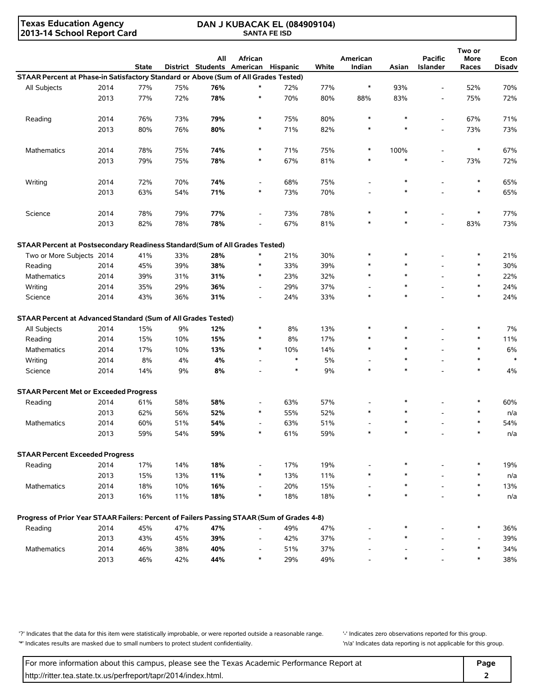**Texas Education Agency 2013-14 School Report Card**

#### **DAN J KUBACAK EL (084909104) SANTA FE ISD**

| District Students American Hispanic<br>STAAR Percent at Phase-in Satisfactory Standard or Above (Sum of All Grades Tested)<br>$\ast$<br>77%<br>$\ast$<br>70%<br>2014<br>77%<br>75%<br>76%<br>72%<br>93%<br>52%<br>All Subjects<br>$\overline{\phantom{a}}$<br>2013<br>77%<br>78%<br>70%<br>80%<br>83%<br>75%<br>72%<br>72%<br>*<br>88%<br>$\overline{\phantom{0}}$<br>71%<br>2014<br>76%<br>73%<br>79%<br>$\ast$<br>75%<br>80%<br>$\ast$<br>$\ast$<br>67%<br>Reading<br>$\overline{\phantom{a}}$<br>80%<br>73%<br>2013<br>76%<br>80%<br>71%<br>82%<br>$\ast$<br>$\ast$<br>73%<br>*<br>$\overline{\phantom{0}}$<br>67%<br><b>Mathematics</b><br>2014<br>78%<br>75%<br>74%<br>$\ast$<br>71%<br>75%<br>$\ast$<br>100%<br>$\ast$<br>67%<br>81%<br>$\ast$<br>72%<br>2013<br>79%<br>75%<br>78%<br>$\ast$<br>$\ast$<br>73%<br>$\overline{\phantom{0}}$<br>2014<br>72%<br>70%<br>74%<br>75%<br>$\ast$<br>65%<br>Writing<br>68%<br>∗<br>$\overline{\phantom{a}}$<br>70%<br>65%<br>2013<br>63%<br>54%<br>71%<br>$\ast$<br>73%<br>$\ast$<br>77%<br>77%<br>Science<br>2014<br>78%<br>79%<br>73%<br>78%<br>$\ast$<br>$\ast$<br>∗<br>$\overline{\phantom{a}}$<br>2013<br>78%<br>67%<br>81%<br>$\ast$<br>73%<br>82%<br>78%<br>$\ast$<br>83%<br>STAAR Percent at Postsecondary Readiness Standard(Sum of All Grades Tested)<br>21%<br>Two or More Subjects 2014<br>41%<br>33%<br>28%<br>$\ast$<br>21%<br>30%<br>$\ast$<br>*<br>38%<br>39%<br>$\ast$<br>30%<br>2014<br>45%<br>39%<br>33%<br>Reading<br>32%<br>$\ast$<br>22%<br>2014<br>39%<br>31%<br>31%<br>23%<br><b>Mathematics</b><br>*<br>$\ast$<br>37%<br>24%<br>2014<br>35%<br>29%<br>36%<br>29%<br>$\ast$<br>Writing<br>$\overline{\phantom{a}}$<br>$\ast$<br>$\ast$<br>24%<br>2014<br>43%<br>36%<br>31%<br>24%<br>33%<br>$\ast$<br>Science<br>$\overline{\phantom{a}}$<br>STAAR Percent at Advanced Standard (Sum of All Grades Tested)<br>7%<br>All Subjects<br>2014<br>9%<br>12%<br>8%<br>13%<br>15%<br>*<br>*<br>11%<br>2014<br>15%<br>10%<br>15%<br>8%<br>17%<br>$\ast$<br>Reading<br>6%<br>Mathematics<br>2014<br>17%<br>10%<br>13%<br>$\ast$<br>10%<br>14%<br>$\ast$<br>$\ast$<br>$\ast$<br>5%<br>$\ast$<br>2014<br>8%<br>4%<br>4%<br>Writing<br>$\ast$<br>$\ast$<br>4%<br>Science<br>2014<br>14%<br>9%<br>8%<br>$\ast$<br>9%<br><b>STAAR Percent Met or Exceeded Progress</b><br>60%<br>2014<br>61%<br>58%<br>58%<br>63%<br>57%<br>Reading<br>52%<br>2013<br>62%<br>56%<br>52%<br>55%<br>$\ast$<br>*<br>n/a<br>2014<br>60%<br>51%<br>54%<br>51%<br>54%<br>63%<br><b>Mathematics</b><br>59%<br>54%<br>59%<br>$\ast$<br>61%<br>59%<br>$\ast$<br>2013<br>n/a<br><b>STAAR Percent Exceeded Progress</b><br>Reading<br>2014<br>17%<br>18%<br>17%<br>19%<br>19%<br>14%<br>2013<br>11%<br>15%<br>11%<br>13%<br>$\ast$<br>n/a<br>13%<br>2014<br>13%<br>18%<br>10%<br>16%<br>20%<br>15%<br>Mathematics<br>∗<br>$\ast$<br>2013<br>16%<br>11%<br>18%<br>18%<br>18%<br>$\ast$<br>n/a<br>$\ast$<br>Progress of Prior Year STAAR Failers: Percent of Failers Passing STAAR (Sum of Grades 4-8)<br>Reading<br>2014<br>45%<br>47%<br>47%<br>49%<br>47%<br>36%<br>37%<br>39%<br>2013<br>43%<br>45%<br>39%<br>42%<br>$\overline{\phantom{a}}$<br>2014<br>37%<br>34%<br>46%<br>40%<br>51%<br>$\ast$<br>Mathematics<br>38%<br>46%<br>49%<br>38%<br>2013<br>42%<br>44%<br>$\ast$<br>29%<br>$\ast$ |  |              | All | African |       | American |       | <b>Pacific</b> | Two or<br>More | Econ   |
|----------------------------------------------------------------------------------------------------------------------------------------------------------------------------------------------------------------------------------------------------------------------------------------------------------------------------------------------------------------------------------------------------------------------------------------------------------------------------------------------------------------------------------------------------------------------------------------------------------------------------------------------------------------------------------------------------------------------------------------------------------------------------------------------------------------------------------------------------------------------------------------------------------------------------------------------------------------------------------------------------------------------------------------------------------------------------------------------------------------------------------------------------------------------------------------------------------------------------------------------------------------------------------------------------------------------------------------------------------------------------------------------------------------------------------------------------------------------------------------------------------------------------------------------------------------------------------------------------------------------------------------------------------------------------------------------------------------------------------------------------------------------------------------------------------------------------------------------------------------------------------------------------------------------------------------------------------------------------------------------------------------------------------------------------------------------------------------------------------------------------------------------------------------------------------------------------------------------------------------------------------------------------------------------------------------------------------------------------------------------------------------------------------------------------------------------------------------------------------------------------------------------------------------------------------------------------------------------------------------------------------------------------------------------------------------------------------------------------------------------------------------------------------------------------------------------------------------------------------------------------------------------------------------------------------------------------------------------------------------------------------------------------------------------------------------------------------------------------------------------------------------------------------------------------------------------------------------------------------------------------------------------------------------------------------------------------|--|--------------|-----|---------|-------|----------|-------|----------------|----------------|--------|
|                                                                                                                                                                                                                                                                                                                                                                                                                                                                                                                                                                                                                                                                                                                                                                                                                                                                                                                                                                                                                                                                                                                                                                                                                                                                                                                                                                                                                                                                                                                                                                                                                                                                                                                                                                                                                                                                                                                                                                                                                                                                                                                                                                                                                                                                                                                                                                                                                                                                                                                                                                                                                                                                                                                                                                                                                                                                                                                                                                                                                                                                                                                                                                                                                                                                                                                            |  | <b>State</b> |     |         | White | Indian   | Asian | Islander       | Races          | Disadv |
|                                                                                                                                                                                                                                                                                                                                                                                                                                                                                                                                                                                                                                                                                                                                                                                                                                                                                                                                                                                                                                                                                                                                                                                                                                                                                                                                                                                                                                                                                                                                                                                                                                                                                                                                                                                                                                                                                                                                                                                                                                                                                                                                                                                                                                                                                                                                                                                                                                                                                                                                                                                                                                                                                                                                                                                                                                                                                                                                                                                                                                                                                                                                                                                                                                                                                                                            |  |              |     |         |       |          |       |                |                |        |
|                                                                                                                                                                                                                                                                                                                                                                                                                                                                                                                                                                                                                                                                                                                                                                                                                                                                                                                                                                                                                                                                                                                                                                                                                                                                                                                                                                                                                                                                                                                                                                                                                                                                                                                                                                                                                                                                                                                                                                                                                                                                                                                                                                                                                                                                                                                                                                                                                                                                                                                                                                                                                                                                                                                                                                                                                                                                                                                                                                                                                                                                                                                                                                                                                                                                                                                            |  |              |     |         |       |          |       |                |                |        |
|                                                                                                                                                                                                                                                                                                                                                                                                                                                                                                                                                                                                                                                                                                                                                                                                                                                                                                                                                                                                                                                                                                                                                                                                                                                                                                                                                                                                                                                                                                                                                                                                                                                                                                                                                                                                                                                                                                                                                                                                                                                                                                                                                                                                                                                                                                                                                                                                                                                                                                                                                                                                                                                                                                                                                                                                                                                                                                                                                                                                                                                                                                                                                                                                                                                                                                                            |  |              |     |         |       |          |       |                |                |        |
|                                                                                                                                                                                                                                                                                                                                                                                                                                                                                                                                                                                                                                                                                                                                                                                                                                                                                                                                                                                                                                                                                                                                                                                                                                                                                                                                                                                                                                                                                                                                                                                                                                                                                                                                                                                                                                                                                                                                                                                                                                                                                                                                                                                                                                                                                                                                                                                                                                                                                                                                                                                                                                                                                                                                                                                                                                                                                                                                                                                                                                                                                                                                                                                                                                                                                                                            |  |              |     |         |       |          |       |                |                |        |
|                                                                                                                                                                                                                                                                                                                                                                                                                                                                                                                                                                                                                                                                                                                                                                                                                                                                                                                                                                                                                                                                                                                                                                                                                                                                                                                                                                                                                                                                                                                                                                                                                                                                                                                                                                                                                                                                                                                                                                                                                                                                                                                                                                                                                                                                                                                                                                                                                                                                                                                                                                                                                                                                                                                                                                                                                                                                                                                                                                                                                                                                                                                                                                                                                                                                                                                            |  |              |     |         |       |          |       |                |                |        |
|                                                                                                                                                                                                                                                                                                                                                                                                                                                                                                                                                                                                                                                                                                                                                                                                                                                                                                                                                                                                                                                                                                                                                                                                                                                                                                                                                                                                                                                                                                                                                                                                                                                                                                                                                                                                                                                                                                                                                                                                                                                                                                                                                                                                                                                                                                                                                                                                                                                                                                                                                                                                                                                                                                                                                                                                                                                                                                                                                                                                                                                                                                                                                                                                                                                                                                                            |  |              |     |         |       |          |       |                |                |        |
|                                                                                                                                                                                                                                                                                                                                                                                                                                                                                                                                                                                                                                                                                                                                                                                                                                                                                                                                                                                                                                                                                                                                                                                                                                                                                                                                                                                                                                                                                                                                                                                                                                                                                                                                                                                                                                                                                                                                                                                                                                                                                                                                                                                                                                                                                                                                                                                                                                                                                                                                                                                                                                                                                                                                                                                                                                                                                                                                                                                                                                                                                                                                                                                                                                                                                                                            |  |              |     |         |       |          |       |                |                |        |
|                                                                                                                                                                                                                                                                                                                                                                                                                                                                                                                                                                                                                                                                                                                                                                                                                                                                                                                                                                                                                                                                                                                                                                                                                                                                                                                                                                                                                                                                                                                                                                                                                                                                                                                                                                                                                                                                                                                                                                                                                                                                                                                                                                                                                                                                                                                                                                                                                                                                                                                                                                                                                                                                                                                                                                                                                                                                                                                                                                                                                                                                                                                                                                                                                                                                                                                            |  |              |     |         |       |          |       |                |                |        |
|                                                                                                                                                                                                                                                                                                                                                                                                                                                                                                                                                                                                                                                                                                                                                                                                                                                                                                                                                                                                                                                                                                                                                                                                                                                                                                                                                                                                                                                                                                                                                                                                                                                                                                                                                                                                                                                                                                                                                                                                                                                                                                                                                                                                                                                                                                                                                                                                                                                                                                                                                                                                                                                                                                                                                                                                                                                                                                                                                                                                                                                                                                                                                                                                                                                                                                                            |  |              |     |         |       |          |       |                |                |        |
|                                                                                                                                                                                                                                                                                                                                                                                                                                                                                                                                                                                                                                                                                                                                                                                                                                                                                                                                                                                                                                                                                                                                                                                                                                                                                                                                                                                                                                                                                                                                                                                                                                                                                                                                                                                                                                                                                                                                                                                                                                                                                                                                                                                                                                                                                                                                                                                                                                                                                                                                                                                                                                                                                                                                                                                                                                                                                                                                                                                                                                                                                                                                                                                                                                                                                                                            |  |              |     |         |       |          |       |                |                |        |
|                                                                                                                                                                                                                                                                                                                                                                                                                                                                                                                                                                                                                                                                                                                                                                                                                                                                                                                                                                                                                                                                                                                                                                                                                                                                                                                                                                                                                                                                                                                                                                                                                                                                                                                                                                                                                                                                                                                                                                                                                                                                                                                                                                                                                                                                                                                                                                                                                                                                                                                                                                                                                                                                                                                                                                                                                                                                                                                                                                                                                                                                                                                                                                                                                                                                                                                            |  |              |     |         |       |          |       |                |                |        |
|                                                                                                                                                                                                                                                                                                                                                                                                                                                                                                                                                                                                                                                                                                                                                                                                                                                                                                                                                                                                                                                                                                                                                                                                                                                                                                                                                                                                                                                                                                                                                                                                                                                                                                                                                                                                                                                                                                                                                                                                                                                                                                                                                                                                                                                                                                                                                                                                                                                                                                                                                                                                                                                                                                                                                                                                                                                                                                                                                                                                                                                                                                                                                                                                                                                                                                                            |  |              |     |         |       |          |       |                |                |        |
|                                                                                                                                                                                                                                                                                                                                                                                                                                                                                                                                                                                                                                                                                                                                                                                                                                                                                                                                                                                                                                                                                                                                                                                                                                                                                                                                                                                                                                                                                                                                                                                                                                                                                                                                                                                                                                                                                                                                                                                                                                                                                                                                                                                                                                                                                                                                                                                                                                                                                                                                                                                                                                                                                                                                                                                                                                                                                                                                                                                                                                                                                                                                                                                                                                                                                                                            |  |              |     |         |       |          |       |                |                |        |
|                                                                                                                                                                                                                                                                                                                                                                                                                                                                                                                                                                                                                                                                                                                                                                                                                                                                                                                                                                                                                                                                                                                                                                                                                                                                                                                                                                                                                                                                                                                                                                                                                                                                                                                                                                                                                                                                                                                                                                                                                                                                                                                                                                                                                                                                                                                                                                                                                                                                                                                                                                                                                                                                                                                                                                                                                                                                                                                                                                                                                                                                                                                                                                                                                                                                                                                            |  |              |     |         |       |          |       |                |                |        |
|                                                                                                                                                                                                                                                                                                                                                                                                                                                                                                                                                                                                                                                                                                                                                                                                                                                                                                                                                                                                                                                                                                                                                                                                                                                                                                                                                                                                                                                                                                                                                                                                                                                                                                                                                                                                                                                                                                                                                                                                                                                                                                                                                                                                                                                                                                                                                                                                                                                                                                                                                                                                                                                                                                                                                                                                                                                                                                                                                                                                                                                                                                                                                                                                                                                                                                                            |  |              |     |         |       |          |       |                |                |        |
|                                                                                                                                                                                                                                                                                                                                                                                                                                                                                                                                                                                                                                                                                                                                                                                                                                                                                                                                                                                                                                                                                                                                                                                                                                                                                                                                                                                                                                                                                                                                                                                                                                                                                                                                                                                                                                                                                                                                                                                                                                                                                                                                                                                                                                                                                                                                                                                                                                                                                                                                                                                                                                                                                                                                                                                                                                                                                                                                                                                                                                                                                                                                                                                                                                                                                                                            |  |              |     |         |       |          |       |                |                |        |
|                                                                                                                                                                                                                                                                                                                                                                                                                                                                                                                                                                                                                                                                                                                                                                                                                                                                                                                                                                                                                                                                                                                                                                                                                                                                                                                                                                                                                                                                                                                                                                                                                                                                                                                                                                                                                                                                                                                                                                                                                                                                                                                                                                                                                                                                                                                                                                                                                                                                                                                                                                                                                                                                                                                                                                                                                                                                                                                                                                                                                                                                                                                                                                                                                                                                                                                            |  |              |     |         |       |          |       |                |                |        |
|                                                                                                                                                                                                                                                                                                                                                                                                                                                                                                                                                                                                                                                                                                                                                                                                                                                                                                                                                                                                                                                                                                                                                                                                                                                                                                                                                                                                                                                                                                                                                                                                                                                                                                                                                                                                                                                                                                                                                                                                                                                                                                                                                                                                                                                                                                                                                                                                                                                                                                                                                                                                                                                                                                                                                                                                                                                                                                                                                                                                                                                                                                                                                                                                                                                                                                                            |  |              |     |         |       |          |       |                |                |        |
|                                                                                                                                                                                                                                                                                                                                                                                                                                                                                                                                                                                                                                                                                                                                                                                                                                                                                                                                                                                                                                                                                                                                                                                                                                                                                                                                                                                                                                                                                                                                                                                                                                                                                                                                                                                                                                                                                                                                                                                                                                                                                                                                                                                                                                                                                                                                                                                                                                                                                                                                                                                                                                                                                                                                                                                                                                                                                                                                                                                                                                                                                                                                                                                                                                                                                                                            |  |              |     |         |       |          |       |                |                |        |
|                                                                                                                                                                                                                                                                                                                                                                                                                                                                                                                                                                                                                                                                                                                                                                                                                                                                                                                                                                                                                                                                                                                                                                                                                                                                                                                                                                                                                                                                                                                                                                                                                                                                                                                                                                                                                                                                                                                                                                                                                                                                                                                                                                                                                                                                                                                                                                                                                                                                                                                                                                                                                                                                                                                                                                                                                                                                                                                                                                                                                                                                                                                                                                                                                                                                                                                            |  |              |     |         |       |          |       |                |                |        |
|                                                                                                                                                                                                                                                                                                                                                                                                                                                                                                                                                                                                                                                                                                                                                                                                                                                                                                                                                                                                                                                                                                                                                                                                                                                                                                                                                                                                                                                                                                                                                                                                                                                                                                                                                                                                                                                                                                                                                                                                                                                                                                                                                                                                                                                                                                                                                                                                                                                                                                                                                                                                                                                                                                                                                                                                                                                                                                                                                                                                                                                                                                                                                                                                                                                                                                                            |  |              |     |         |       |          |       |                |                |        |
|                                                                                                                                                                                                                                                                                                                                                                                                                                                                                                                                                                                                                                                                                                                                                                                                                                                                                                                                                                                                                                                                                                                                                                                                                                                                                                                                                                                                                                                                                                                                                                                                                                                                                                                                                                                                                                                                                                                                                                                                                                                                                                                                                                                                                                                                                                                                                                                                                                                                                                                                                                                                                                                                                                                                                                                                                                                                                                                                                                                                                                                                                                                                                                                                                                                                                                                            |  |              |     |         |       |          |       |                |                |        |
|                                                                                                                                                                                                                                                                                                                                                                                                                                                                                                                                                                                                                                                                                                                                                                                                                                                                                                                                                                                                                                                                                                                                                                                                                                                                                                                                                                                                                                                                                                                                                                                                                                                                                                                                                                                                                                                                                                                                                                                                                                                                                                                                                                                                                                                                                                                                                                                                                                                                                                                                                                                                                                                                                                                                                                                                                                                                                                                                                                                                                                                                                                                                                                                                                                                                                                                            |  |              |     |         |       |          |       |                |                |        |
|                                                                                                                                                                                                                                                                                                                                                                                                                                                                                                                                                                                                                                                                                                                                                                                                                                                                                                                                                                                                                                                                                                                                                                                                                                                                                                                                                                                                                                                                                                                                                                                                                                                                                                                                                                                                                                                                                                                                                                                                                                                                                                                                                                                                                                                                                                                                                                                                                                                                                                                                                                                                                                                                                                                                                                                                                                                                                                                                                                                                                                                                                                                                                                                                                                                                                                                            |  |              |     |         |       |          |       |                |                |        |
|                                                                                                                                                                                                                                                                                                                                                                                                                                                                                                                                                                                                                                                                                                                                                                                                                                                                                                                                                                                                                                                                                                                                                                                                                                                                                                                                                                                                                                                                                                                                                                                                                                                                                                                                                                                                                                                                                                                                                                                                                                                                                                                                                                                                                                                                                                                                                                                                                                                                                                                                                                                                                                                                                                                                                                                                                                                                                                                                                                                                                                                                                                                                                                                                                                                                                                                            |  |              |     |         |       |          |       |                |                |        |
|                                                                                                                                                                                                                                                                                                                                                                                                                                                                                                                                                                                                                                                                                                                                                                                                                                                                                                                                                                                                                                                                                                                                                                                                                                                                                                                                                                                                                                                                                                                                                                                                                                                                                                                                                                                                                                                                                                                                                                                                                                                                                                                                                                                                                                                                                                                                                                                                                                                                                                                                                                                                                                                                                                                                                                                                                                                                                                                                                                                                                                                                                                                                                                                                                                                                                                                            |  |              |     |         |       |          |       |                |                |        |
|                                                                                                                                                                                                                                                                                                                                                                                                                                                                                                                                                                                                                                                                                                                                                                                                                                                                                                                                                                                                                                                                                                                                                                                                                                                                                                                                                                                                                                                                                                                                                                                                                                                                                                                                                                                                                                                                                                                                                                                                                                                                                                                                                                                                                                                                                                                                                                                                                                                                                                                                                                                                                                                                                                                                                                                                                                                                                                                                                                                                                                                                                                                                                                                                                                                                                                                            |  |              |     |         |       |          |       |                |                |        |
|                                                                                                                                                                                                                                                                                                                                                                                                                                                                                                                                                                                                                                                                                                                                                                                                                                                                                                                                                                                                                                                                                                                                                                                                                                                                                                                                                                                                                                                                                                                                                                                                                                                                                                                                                                                                                                                                                                                                                                                                                                                                                                                                                                                                                                                                                                                                                                                                                                                                                                                                                                                                                                                                                                                                                                                                                                                                                                                                                                                                                                                                                                                                                                                                                                                                                                                            |  |              |     |         |       |          |       |                |                |        |
|                                                                                                                                                                                                                                                                                                                                                                                                                                                                                                                                                                                                                                                                                                                                                                                                                                                                                                                                                                                                                                                                                                                                                                                                                                                                                                                                                                                                                                                                                                                                                                                                                                                                                                                                                                                                                                                                                                                                                                                                                                                                                                                                                                                                                                                                                                                                                                                                                                                                                                                                                                                                                                                                                                                                                                                                                                                                                                                                                                                                                                                                                                                                                                                                                                                                                                                            |  |              |     |         |       |          |       |                |                |        |
|                                                                                                                                                                                                                                                                                                                                                                                                                                                                                                                                                                                                                                                                                                                                                                                                                                                                                                                                                                                                                                                                                                                                                                                                                                                                                                                                                                                                                                                                                                                                                                                                                                                                                                                                                                                                                                                                                                                                                                                                                                                                                                                                                                                                                                                                                                                                                                                                                                                                                                                                                                                                                                                                                                                                                                                                                                                                                                                                                                                                                                                                                                                                                                                                                                                                                                                            |  |              |     |         |       |          |       |                |                |        |
|                                                                                                                                                                                                                                                                                                                                                                                                                                                                                                                                                                                                                                                                                                                                                                                                                                                                                                                                                                                                                                                                                                                                                                                                                                                                                                                                                                                                                                                                                                                                                                                                                                                                                                                                                                                                                                                                                                                                                                                                                                                                                                                                                                                                                                                                                                                                                                                                                                                                                                                                                                                                                                                                                                                                                                                                                                                                                                                                                                                                                                                                                                                                                                                                                                                                                                                            |  |              |     |         |       |          |       |                |                |        |
|                                                                                                                                                                                                                                                                                                                                                                                                                                                                                                                                                                                                                                                                                                                                                                                                                                                                                                                                                                                                                                                                                                                                                                                                                                                                                                                                                                                                                                                                                                                                                                                                                                                                                                                                                                                                                                                                                                                                                                                                                                                                                                                                                                                                                                                                                                                                                                                                                                                                                                                                                                                                                                                                                                                                                                                                                                                                                                                                                                                                                                                                                                                                                                                                                                                                                                                            |  |              |     |         |       |          |       |                |                |        |
|                                                                                                                                                                                                                                                                                                                                                                                                                                                                                                                                                                                                                                                                                                                                                                                                                                                                                                                                                                                                                                                                                                                                                                                                                                                                                                                                                                                                                                                                                                                                                                                                                                                                                                                                                                                                                                                                                                                                                                                                                                                                                                                                                                                                                                                                                                                                                                                                                                                                                                                                                                                                                                                                                                                                                                                                                                                                                                                                                                                                                                                                                                                                                                                                                                                                                                                            |  |              |     |         |       |          |       |                |                |        |
|                                                                                                                                                                                                                                                                                                                                                                                                                                                                                                                                                                                                                                                                                                                                                                                                                                                                                                                                                                                                                                                                                                                                                                                                                                                                                                                                                                                                                                                                                                                                                                                                                                                                                                                                                                                                                                                                                                                                                                                                                                                                                                                                                                                                                                                                                                                                                                                                                                                                                                                                                                                                                                                                                                                                                                                                                                                                                                                                                                                                                                                                                                                                                                                                                                                                                                                            |  |              |     |         |       |          |       |                |                |        |
|                                                                                                                                                                                                                                                                                                                                                                                                                                                                                                                                                                                                                                                                                                                                                                                                                                                                                                                                                                                                                                                                                                                                                                                                                                                                                                                                                                                                                                                                                                                                                                                                                                                                                                                                                                                                                                                                                                                                                                                                                                                                                                                                                                                                                                                                                                                                                                                                                                                                                                                                                                                                                                                                                                                                                                                                                                                                                                                                                                                                                                                                                                                                                                                                                                                                                                                            |  |              |     |         |       |          |       |                |                |        |
|                                                                                                                                                                                                                                                                                                                                                                                                                                                                                                                                                                                                                                                                                                                                                                                                                                                                                                                                                                                                                                                                                                                                                                                                                                                                                                                                                                                                                                                                                                                                                                                                                                                                                                                                                                                                                                                                                                                                                                                                                                                                                                                                                                                                                                                                                                                                                                                                                                                                                                                                                                                                                                                                                                                                                                                                                                                                                                                                                                                                                                                                                                                                                                                                                                                                                                                            |  |              |     |         |       |          |       |                |                |        |
|                                                                                                                                                                                                                                                                                                                                                                                                                                                                                                                                                                                                                                                                                                                                                                                                                                                                                                                                                                                                                                                                                                                                                                                                                                                                                                                                                                                                                                                                                                                                                                                                                                                                                                                                                                                                                                                                                                                                                                                                                                                                                                                                                                                                                                                                                                                                                                                                                                                                                                                                                                                                                                                                                                                                                                                                                                                                                                                                                                                                                                                                                                                                                                                                                                                                                                                            |  |              |     |         |       |          |       |                |                |        |
|                                                                                                                                                                                                                                                                                                                                                                                                                                                                                                                                                                                                                                                                                                                                                                                                                                                                                                                                                                                                                                                                                                                                                                                                                                                                                                                                                                                                                                                                                                                                                                                                                                                                                                                                                                                                                                                                                                                                                                                                                                                                                                                                                                                                                                                                                                                                                                                                                                                                                                                                                                                                                                                                                                                                                                                                                                                                                                                                                                                                                                                                                                                                                                                                                                                                                                                            |  |              |     |         |       |          |       |                |                |        |
|                                                                                                                                                                                                                                                                                                                                                                                                                                                                                                                                                                                                                                                                                                                                                                                                                                                                                                                                                                                                                                                                                                                                                                                                                                                                                                                                                                                                                                                                                                                                                                                                                                                                                                                                                                                                                                                                                                                                                                                                                                                                                                                                                                                                                                                                                                                                                                                                                                                                                                                                                                                                                                                                                                                                                                                                                                                                                                                                                                                                                                                                                                                                                                                                                                                                                                                            |  |              |     |         |       |          |       |                |                |        |

'?' Indicates that the data for this item were statistically improbable, or were reported outside a reasonable range. '' Indicates zero observations reported for this group. '\*' Indicates results are masked due to small numbers to protect student confidentiality. 'n/a' Indicates data reporting is not applicable for this group.

For more information about this campus, please see the Texas Academic Performance Report at **Page Page** http://ritter.tea.state.tx.us/perfreport/tapr/2014/index.html. **2**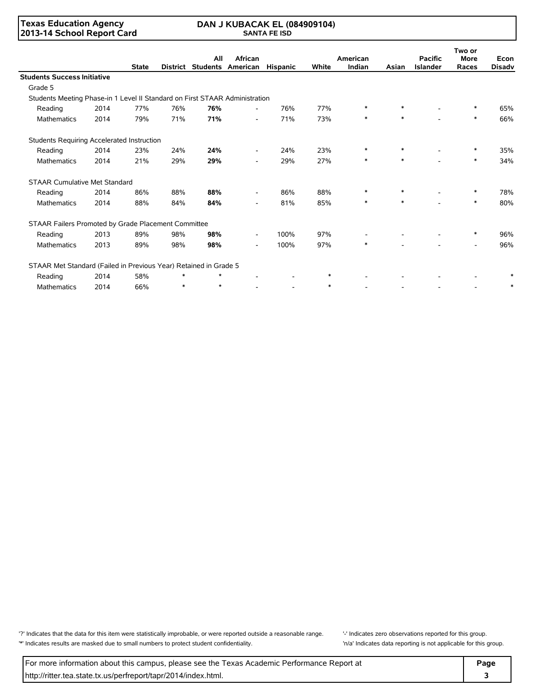### **Texas Education Agency 2013-14 School Report Card**

#### **DAN J KUBACAK EL (084909104) SANTA FE ISD**

|                                                                             |      |              |        | All     | African                      |                          |        | American |        | <b>Pacific</b>  | Two or<br><b>More</b> | Econ          |  |
|-----------------------------------------------------------------------------|------|--------------|--------|---------|------------------------------|--------------------------|--------|----------|--------|-----------------|-----------------------|---------------|--|
|                                                                             |      | <b>State</b> |        |         | District Students American   | <b>Hispanic</b>          | White  | Indian   | Asian  | <b>Islander</b> | Races                 | <b>Disadv</b> |  |
| <b>Students Success Initiative</b>                                          |      |              |        |         |                              |                          |        |          |        |                 |                       |               |  |
| Grade 5                                                                     |      |              |        |         |                              |                          |        |          |        |                 |                       |               |  |
| Students Meeting Phase-in 1 Level II Standard on First STAAR Administration |      |              |        |         |                              |                          |        |          |        |                 |                       |               |  |
| Reading                                                                     | 2014 | 77%          | 76%    | 76%     | $\overline{\phantom{a}}$     | 76%                      | 77%    | $\ast$   | *      |                 |                       | 65%           |  |
| Mathematics                                                                 | 2014 | 79%          | 71%    | 71%     | $\overline{\phantom{a}}$     | 71%                      | 73%    | $\ast$   | $\ast$ |                 | $\ast$                | 66%           |  |
| Students Requiring Accelerated Instruction                                  |      |              |        |         |                              |                          |        |          |        |                 |                       |               |  |
| Reading                                                                     | 2014 | 23%          | 24%    | 24%     | $\overline{\phantom{a}}$     | 24%                      | 23%    | $\ast$   |        |                 | $\ast$                | 35%           |  |
| <b>Mathematics</b>                                                          | 2014 | 21%          | 29%    | 29%     | $\overline{\phantom{a}}$     | 29%                      | 27%    | $\ast$   | $\ast$ |                 | $\ast$                | 34%           |  |
| <b>STAAR Cumulative Met Standard</b>                                        |      |              |        |         |                              |                          |        |          |        |                 |                       |               |  |
| Reading                                                                     | 2014 | 86%          | 88%    | 88%     | $\qquad \qquad \blacksquare$ | 86%                      | 88%    | $\ast$   | $\ast$ |                 | $\ast$                | 78%           |  |
| <b>Mathematics</b>                                                          | 2014 | 88%          | 84%    | 84%     | $\overline{\phantom{a}}$     | 81%                      | 85%    | $\ast$   | $\ast$ |                 | $\ast$                | 80%           |  |
| STAAR Failers Promoted by Grade Placement Committee                         |      |              |        |         |                              |                          |        |          |        |                 |                       |               |  |
| Reading                                                                     | 2013 | 89%          | 98%    | 98%     | $\overline{\phantom{a}}$     | 100%                     | 97%    |          |        |                 | $\ast$                | 96%           |  |
| Mathematics                                                                 | 2013 | 89%          | 98%    | 98%     | $\overline{\phantom{0}}$     | 100%                     | 97%    | $\ast$   |        |                 |                       | 96%           |  |
| STAAR Met Standard (Failed in Previous Year) Retained in Grade 5            |      |              |        |         |                              |                          |        |          |        |                 |                       |               |  |
| Reading                                                                     | 2014 | 58%          | *      | $\star$ |                              |                          | $\ast$ |          |        |                 |                       |               |  |
| <b>Mathematics</b>                                                          | 2014 | 66%          | $\ast$ | $\star$ |                              | $\overline{\phantom{a}}$ | $\ast$ |          |        |                 |                       |               |  |

'?' Indicates that the data for this item were statistically improbable, or were reported outside a reasonable range. '' Indicates zero observations reported for this group. '\*' Indicates results are masked due to small numbers to protect student confidentiality. 'n/a' Indicates data reporting is not applicable for this group.

For more information about this campus, please see the Texas Academic Performance Report at **Page Page** http://ritter.tea.state.tx.us/perfreport/tapr/2014/index.html. **3**